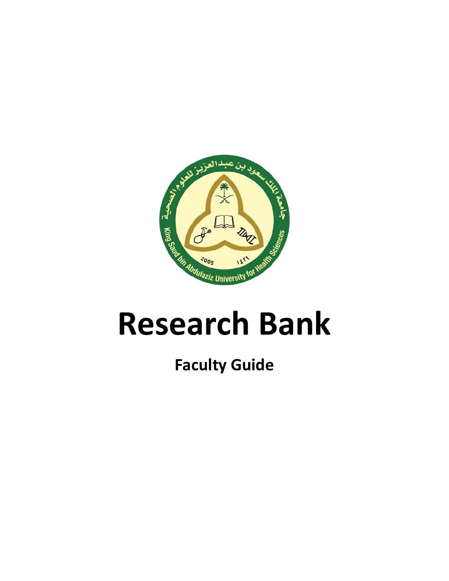

# **Research Bank**

# **Faculty Guide**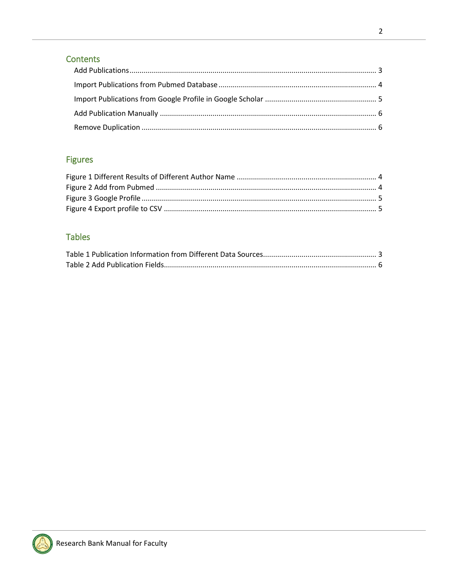# Contents

# **Figures**

# Tables

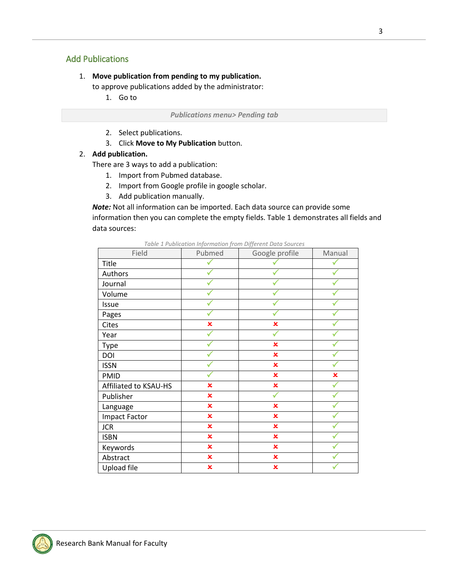# <span id="page-2-0"></span>Add Publications

#### 1. **Move publication from pending to my publication.**

to approve publications added by the administrator:

1. Go to

*Publications menu> Pending tab* 

- 2. Select publications.
- 3. Click **Move to My Publication** button.

#### 2. **Add publication.**

There are 3 ways to add a publication:

- 1. Import from Pubmed database.
- 2. Import from Google profile in google scholar.
- 3. Add publication manually.

*Note:* Not all information can be imported. Each data source can provide some information then you can complete the empty fields. Table 1 demonstrates all fields and data sources:

<span id="page-2-1"></span>

| Field                 | Pubmed                  | Google profile          | Manual         |
|-----------------------|-------------------------|-------------------------|----------------|
| Title                 |                         |                         |                |
| Authors               |                         |                         |                |
| Journal               |                         |                         |                |
| Volume                |                         |                         |                |
| Issue                 |                         |                         |                |
| Pages                 |                         |                         |                |
| Cites                 | $\pmb{\times}$          | $\pmb{\times}$          |                |
| Year                  |                         |                         |                |
| <b>Type</b>           |                         | $\pmb{\times}$          |                |
| DOI                   |                         | $\mathbf x$             |                |
| <b>ISSN</b>           |                         | $\pmb{\times}$          |                |
| <b>PMID</b>           |                         | $\pmb{\times}$          | $\pmb{\times}$ |
| Affiliated to KSAU-HS | $\overline{\mathbf{x}}$ | $\pmb{\times}$          |                |
| Publisher             | $\overline{\mathbf{x}}$ |                         |                |
| Language              | $\pmb{\times}$          | $\pmb{\times}$          |                |
| <b>Impact Factor</b>  | $\pmb{\times}$          | ×                       |                |
| <b>JCR</b>            | $\pmb{\times}$          | $\mathbf x$             |                |
| <b>ISBN</b>           | $\pmb{\times}$          | $\mathbf x$             |                |
| Keywords              | $\pmb{\times}$          | $\pmb{\times}$          |                |
| Abstract              | $\pmb{\times}$          | $\pmb{\times}$          |                |
| Upload file           | $\overline{\mathbf{x}}$ | $\overline{\mathbf{x}}$ |                |

*Table 1 Publication Information from Different Data Sources*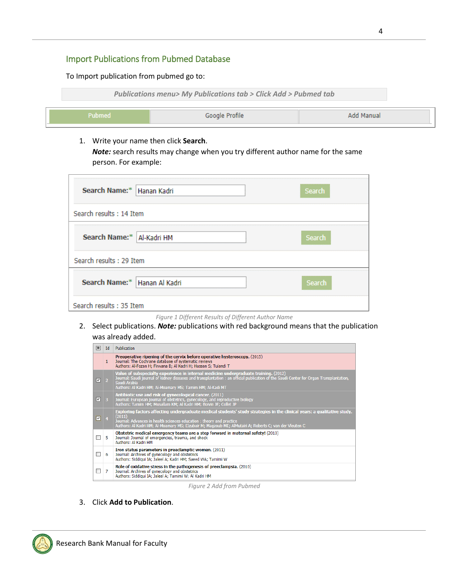# <span id="page-3-0"></span>Import Publications from Pubmed Database

To Import publication from pubmed go to:



1. Write your name then click **Search**. *Note:* search results may change when you try different author name for the same person. For example:

| Search Name:* Hanan Kadri      |  | Search |
|--------------------------------|--|--------|
| Search results: 14 Item        |  |        |
| Search Name:*   Al-Kadri HM    |  | Search |
| Search results: 29 Item        |  |        |
| Search Name:*   Hanan Al Kadri |  | Search |
| Search results: 35 Item        |  |        |

- *Figure 1 Different Results of Different Author Name*
- <span id="page-3-1"></span>2. Select publications. *Note:* publications with red background means that the publication was already added.



*Figure 2 Add from Pubmed*

<span id="page-3-2"></span>3. Click **Add to Publication**.

![](_page_3_Picture_10.jpeg)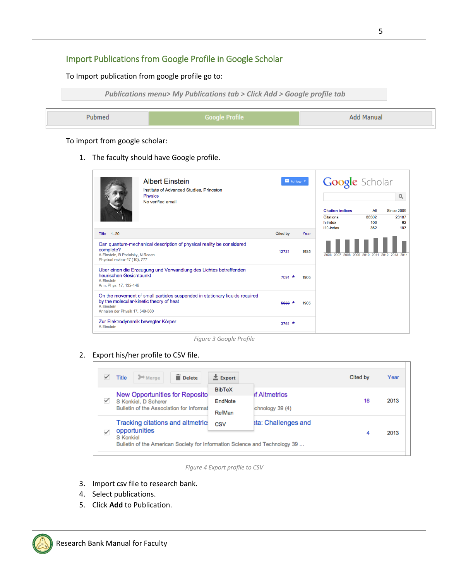# <span id="page-4-0"></span>Import Publications from Google Profile in Google Scholar

To Import publication from google profile go to:

![](_page_4_Picture_2.jpeg)

To import from google scholar:

1. The faculty should have Google profile.

|                                                                              | <b>Albert Einstein</b><br>Institute of Advanced Studies, Princeton                                                     | Follow <sup>*</sup> |      | <b>Google</b> Scholar                       |              |                                    |
|------------------------------------------------------------------------------|------------------------------------------------------------------------------------------------------------------------|---------------------|------|---------------------------------------------|--------------|------------------------------------|
|                                                                              | Physics<br>No verified email                                                                                           |                     |      | <b>Citation indices</b><br><b>Citations</b> | ΑIΙ<br>86302 | Q<br><b>Since 2009</b><br>28107    |
|                                                                              |                                                                                                                        |                     |      | h-index<br>i10-index                        | 103<br>362   | 62<br>197                          |
| Title 1-20                                                                   |                                                                                                                        | Cited by            | Year |                                             |              |                                    |
| complete?<br>A Einstein, B Podolsky, N Rosen<br>Physical review 47 (10), 777 | Can quantum-mechanical description of physical reality be considered                                                   | 12721               | 1935 | 2006 2007                                   |              | 2008 2009 2010 2011 2012 2013 2014 |
| heurischen Gesichtpunkt<br>A Einstein<br>Ann. Phys. 17, 132-148              | Uber einen die Erzeugung und Verwandlung des Lichtes betreffenden                                                      | $7091 *$            | 1905 |                                             |              |                                    |
| A Einstein<br>Annalen der Physik 17, 549-560                                 | On the movement of small particles suspended in stationary liquids required<br>by the molecular-kinetic theory of heat | 5633                | 1905 |                                             |              |                                    |
| A Einstein                                                                   | Zur Elektrodynamik bewegter Körper                                                                                     | 3761 $*$            |      |                                             |              |                                    |

*Figure 3 Google Profile*

#### <span id="page-4-1"></span>2. Export his/her profile to CSV file.

|   | Delete<br>>Merge<br><b>Title</b>                          | $\pm$ Export  |                     | Cited by | Year |
|---|-----------------------------------------------------------|---------------|---------------------|----------|------|
|   | New Opportunities for Reposito                            | <b>BibTeX</b> | of Altmetrics       |          |      |
| ✓ | S Konkiel, D Scherer                                      | EndNote       |                     | 16       | 2013 |
|   | Bulletin of the Association for Informat                  | RefMan        | chnology 39 (4)     |          |      |
|   | <b>Tracking citations and altmetrict</b><br>opportunities | CSV           | ata: Challenges and | 4        | 2013 |
|   | <b>S</b> Konkiel                                          |               |                     |          |      |

*Figure 4 Export profile to CSV*

- <span id="page-4-2"></span>3. Import csv file to research bank.
- 4. Select publications.
- 5. Click **Add** to Publication.

![](_page_4_Picture_13.jpeg)